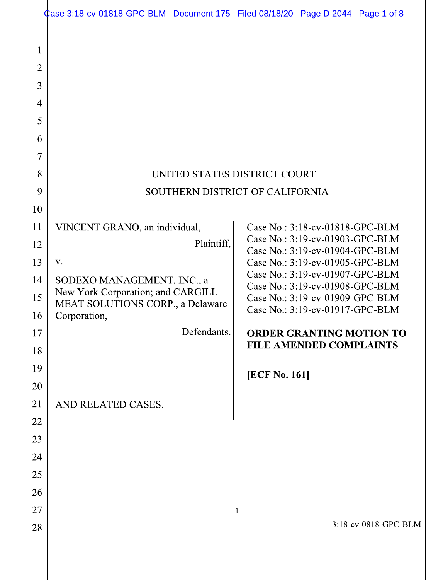|                                                                         | Case 3:18-cv-01818-GPC-BLM Document 175 Filed 08/18/20 PageID.2044 Page 1 of 8                                                                                                          |                                                                                                                                                                                                                                                                                                                                                                                   |
|-------------------------------------------------------------------------|-----------------------------------------------------------------------------------------------------------------------------------------------------------------------------------------|-----------------------------------------------------------------------------------------------------------------------------------------------------------------------------------------------------------------------------------------------------------------------------------------------------------------------------------------------------------------------------------|
| $\mathbf{1}$<br>$\overline{2}$<br>3<br>4<br>5<br>6<br>7<br>8<br>9<br>10 | UNITED STATES DISTRICT COURT                                                                                                                                                            | SOUTHERN DISTRICT OF CALIFORNIA                                                                                                                                                                                                                                                                                                                                                   |
| 11<br>12<br>13<br>14<br>15<br>16<br>17<br>18<br>19<br>20                | VINCENT GRANO, an individual,<br>Plaintiff,<br>V.<br>SODEXO MANAGEMENT, INC., a<br>New York Corporation; and CARGILL<br>MEAT SOLUTIONS CORP., a Delaware<br>Corporation,<br>Defendants. | Case No.: 3:18-cv-01818-GPC-BLM<br>Case No.: 3:19-cv-01903-GPC-BLM<br>Case No.: 3:19-cv-01904-GPC-BLM<br>Case No.: 3:19-cv-01905-GPC-BLM<br>Case No.: 3:19-cv-01907-GPC-BLM<br>Case No.: 3:19-cv-01908-GPC-BLM<br>Case No.: 3:19-cv-01909-GPC-BLM<br>Case No.: 3:19-cv-01917-GPC-BLM<br><b>ORDER GRANTING MOTION TO</b><br><b>FILE AMENDED COMPLAINTS</b><br><b>[ECF No. 161]</b> |
| 21<br>22<br>23<br>24<br>25<br>26<br>27<br>28                            | AND RELATED CASES.                                                                                                                                                                      | 1<br>3:18-cv-0818-GPC-BLM                                                                                                                                                                                                                                                                                                                                                         |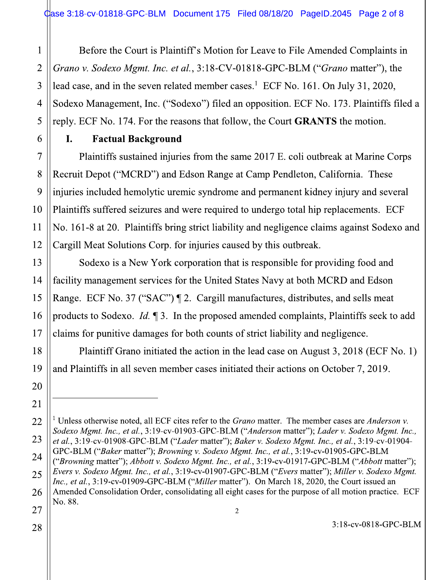Before the Court is Plaintiff's Motion for Leave to File Amended Complaints in Grano v. Sodexo Mgmt. Inc. et al., 3:18-CV-01818-GPC-BLM ("Grano matter"), the lead case, and in the seven related member cases.<sup>1</sup> ECF No. 161. On July 31, 2020, Sodexo Management, Inc. ("Sodexo") filed an opposition. ECF No. 173. Plaintiffs filed a reply. ECF No. 174. For the reasons that follow, the Court **GRANTS** the motion.

I. **Factual Background** 

Plaintiffs sustained injuries from the same 2017 E. coli outbreak at Marine Corps Recruit Depot ("MCRD") and Edson Range at Camp Pendleton, California. These injuries included hemolytic uremic syndrome and permanent kidney injury and several Plaintiffs suffered seizures and were required to undergo total hip replacements. ECF No. 161-8 at 20. Plaintiffs bring strict liability and negligence claims against Sodexo and Cargill Meat Solutions Corp. for injuries caused by this outbreak.

Sodexo is a New York corporation that is responsible for providing food and facility management services for the United States Navy at both MCRD and Edson Range. ECF No. 37 ("SAC") ¶ 2. Cargill manufactures, distributes, and sells meat products to Sodexo. *Id.*  $\P$ 3. In the proposed amended complaints, Plaintiffs seek to add claims for punitive damages for both counts of strict liability and negligence.

Plaintiff Grano initiated the action in the lead case on August 3, 2018 (ECF No. 1) and Plaintiffs in all seven member cases initiated their actions on October 7, 2019.

 $\sqrt{2}$ 

 $\mathbf{1}$ 

 $\overline{2}$ 

 $\overline{3}$ 

 $\overline{4}$ 

5

6

7

8

9

10

11

12

13

14

15

16

17

18

19

20

21

<sup>22</sup> <sup>1</sup> Unless otherwise noted, all ECF cites refer to the *Grano* matter. The member cases are *Anderson v*. Sodexo Mgmt. Inc., et al., 3:19-cv-01903-GPC-BLM ("Anderson matter"); Lader v. Sodexo Mgmt. Inc., 23 et al., 3:19-cv-01908-GPC-BLM ("Lader matter"); Baker v. Sodexo Mgmt. Inc., et al., 3:19-cv-01904-GPC-BLM ("Baker matter"); Browning v. Sodexo Mgmt. Inc., et al., 3:19-cv-01905-GPC-BLM ("Browning matter"); Abbott v. Sodexo Mgmt. Inc., et al., 3:19-cv-01917-GPC-BLM ("Abbott matter"); Evers v. Sodexo Mgmt. Inc., et al., 3:19-cv-01907-GPC-BLM ("Evers matter"); Miller v. Sodexo Mgmt. Inc., et al., 3:19-cv-01909-GPC-BLM ("Miller matter"). On March 18, 2020, the Court issued an Amended Consolidation Order, consolidating all eight cases for the purpose of all motion practice. ECF No. 88.

<sup>24</sup> 25 26 27 28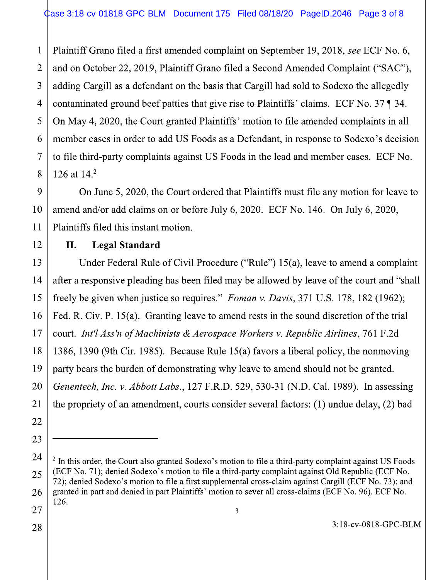Plaintiff Grano filed a first amended complaint on September 19, 2018, see ECF No. 6, and on October 22, 2019, Plaintiff Grano filed a Second Amended Complaint ("SAC"), adding Cargill as a defendant on the basis that Cargill had sold to Sodexo the allegedly contaminated ground beef patties that give rise to Plaintiffs' claims. ECF No. 37  $\P$  34. On May 4, 2020, the Court granted Plaintiffs' motion to file amended complaints in all member cases in order to add US Foods as a Defendant, in response to Sodexo's decision to file third-party complaints against US Foods in the lead and member cases. ECF No. 126 at  $14<sup>2</sup>$ 

On June 5, 2020, the Court ordered that Plaintiffs must file any motion for leave to amend and/or add claims on or before July 6, 2020. ECF No. 146. On July 6, 2020, Plaintiffs filed this instant motion.

## **Legal Standard** II.

Under Federal Rule of Civil Procedure ("Rule") 15(a), leave to amend a complaint after a responsive pleading has been filed may be allowed by leave of the court and "shall" freely be given when justice so requires." Foman v. Davis, 371 U.S. 178, 182 (1962); Fed. R. Civ. P. 15(a). Granting leave to amend rests in the sound discretion of the trial court. Int'l Ass'n of Machinists & Aerospace Workers v. Republic Airlines, 761 F.2d 1386, 1390 (9th Cir. 1985). Because Rule 15(a) favors a liberal policy, the nonmoving party bears the burden of demonstrating why leave to amend should not be granted. Genentech, Inc. v. Abbott Labs., 127 F.R.D. 529, 530-31 (N.D. Cal. 1989). In assessing the propriety of an amendment, courts consider several factors: (1) undue delay, (2) bad

 $\mathbf{1}$ 

 $2 \text{ In this order, the Court also granted Sodexo's motion to file a third-party complaint against US Foods}$ (ECF No. 71); denied Sodexo's motion to file a third-party complaint against Old Republic (ECF No. 72); denied Sodexo's motion to file a first supplemental cross-claim against Cargill (ECF No. 73); and granted in part and denied in part Plaintiffs' motion to sever all cross-claims (ECF No. 96). ECF No. 126.  $\mathfrak{Z}$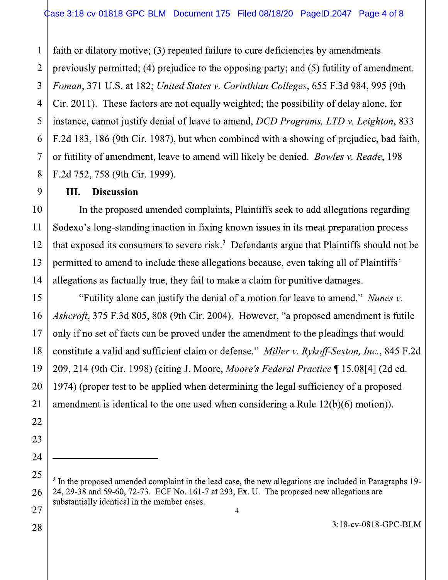faith or dilatory motive; (3) repeated failure to cure deficiencies by amendments  $\mathbf{1}$ previously permitted; (4) prejudice to the opposing party; and (5) futility of amendment.  $\overline{2}$ Foman, 371 U.S. at 182; United States v. Corinthian Colleges, 655 F.3d 984, 995 (9th Cir. 2011). These factors are not equally weighted; the possibility of delay alone, for instance, cannot justify denial of leave to amend, DCD Programs, LTD v. Leighton, 833 F.2d 183, 186 (9th Cir. 1987), but when combined with a showing of prejudice, bad faith, or futility of amendment, leave to amend will likely be denied. Bowles v. Reade, 198 F.2d 752, 758 (9th Cir. 1999).

## **Discussion** Ш.

In the proposed amended complaints, Plaintiffs seek to add allegations regarding Sodexo's long-standing inaction in fixing known issues in its meat preparation process that exposed its consumers to severe risk.<sup>3</sup> Defendants argue that Plaintiffs should not be permitted to amend to include these allegations because, even taking all of Plaintiffs' allegations as factually true, they fail to make a claim for punitive damages.

"Futility alone can justify the denial of a motion for leave to amend." Nunes v. Ashcroft, 375 F.3d 805, 808 (9th Cir. 2004). However, "a proposed amendment is futile only if no set of facts can be proved under the amendment to the pleadings that would constitute a valid and sufficient claim or defense." Miller v. Rykoff-Sexton, Inc., 845 F.2d 209, 214 (9th Cir. 1998) (citing J. Moore, Moore's Federal Practice ¶ 15.08[4] (2d ed. 1974) (proper test to be applied when determining the legal sufficiency of a proposed amendment is identical to the one used when considering a Rule  $12(b)(6)$  motion)).

3:18-cv-0818-GPC-BLM

 $3\,$  In the proposed amended complaint in the lead case, the new allegations are included in Paragraphs 19-24, 29-38 and 59-60, 72-73. ECF No. 161-7 at 293, Ex. U. The proposed new allegations are substantially identical in the member cases.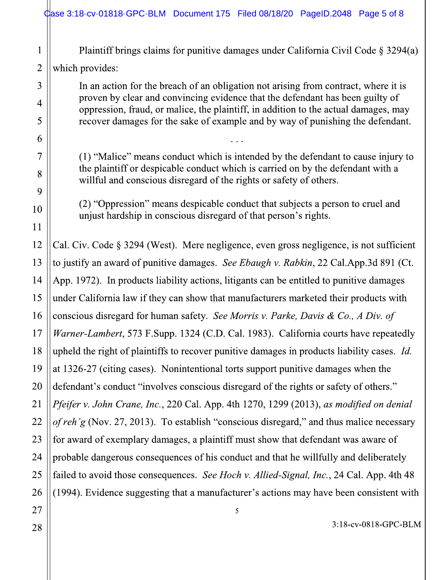|                | \$ #\$#200.000 2018 Passed: 0.2018 0.2018 Passed: 0.418 Passed: 0.415 Passed: 0.415 Passed: 0.416 Pass                                                                                                                                    |  |  |
|----------------|-------------------------------------------------------------------------------------------------------------------------------------------------------------------------------------------------------------------------------------------|--|--|
| $\mathbf 1$    | Plaintiff brings claims for punitive damages under California Civil Code $\S 3294(a)$                                                                                                                                                     |  |  |
| $\overline{2}$ | which provides:                                                                                                                                                                                                                           |  |  |
| 3              | In an action for the breach of an obligation not arising from contract, where it is                                                                                                                                                       |  |  |
| $\overline{4}$ | proven by clear and convincing evidence that the defendant has been guilty of<br>oppression, fraud, or malice, the plaintiff, in addition to the actual damages, may                                                                      |  |  |
| 5              | recover damages for the sake of example and by way of punishing the defendant.                                                                                                                                                            |  |  |
| 6              |                                                                                                                                                                                                                                           |  |  |
| 7              | (1) "Malice" means conduct which is intended by the defendant to cause injury to<br>the plaintiff or despicable conduct which is carried on by the defendant with a<br>willful and conscious disregard of the rights or safety of others. |  |  |
| 8              |                                                                                                                                                                                                                                           |  |  |
| 9              |                                                                                                                                                                                                                                           |  |  |
| 10             | (2) "Oppression" means despicable conduct that subjects a person to cruel and<br>unjust hardship in conscious disregard of that person's rights.                                                                                          |  |  |
| 11             |                                                                                                                                                                                                                                           |  |  |
| 12             | Cal. Civ. Code § 3294 (West). Mere negligence, even gross negligence, is not sufficient                                                                                                                                                   |  |  |
| 13             | to justify an award of punitive damages. See Ebaugh v. Rabkin, 22 Cal.App.3d 891 (Ct.                                                                                                                                                     |  |  |
| 14             | App. 1972). In products liability actions, litigants can be entitled to punitive damages                                                                                                                                                  |  |  |
| 15             | under California law if they can show that manufacturers marketed their products with                                                                                                                                                     |  |  |
| 16             | conscious disregard for human safety. See Morris v. Parke, Davis & Co., A Div. of                                                                                                                                                         |  |  |
| 17             | Warner-Lambert, 573 F.Supp. 1324 (C.D. Cal. 1983). California courts have repeatedly                                                                                                                                                      |  |  |
| 18             | upheld the right of plaintiffs to recover punitive damages in products liability cases. Id.                                                                                                                                               |  |  |
| 19             | at 1326-27 (citing cases). Nonintentional torts support punitive damages when the                                                                                                                                                         |  |  |
| 20             | defendant's conduct "involves conscious disregard of the rights or safety of others."                                                                                                                                                     |  |  |
| 21             | Pfeifer v. John Crane, Inc., 220 Cal. App. 4th 1270, 1299 (2013), as modified on denial                                                                                                                                                   |  |  |
| 22             | of reh'g (Nov. 27, 2013). To establish "conscious disregard," and thus malice necessary                                                                                                                                                   |  |  |
| 23             | for award of exemplary damages, a plaintiff must show that defendant was aware of                                                                                                                                                         |  |  |
| 24             | probable dangerous consequences of his conduct and that he willfully and deliberately                                                                                                                                                     |  |  |
| 25             | failed to avoid those consequences. See Hoch v. Allied-Signal, Inc., 24 Cal. App. 4th 48                                                                                                                                                  |  |  |
| 26             | (1994). Evidence suggesting that a manufacturer's actions may have been consistent with                                                                                                                                                   |  |  |
| 27             | 5                                                                                                                                                                                                                                         |  |  |
| 28             | 3:18-cv-0818-GPC-BLM                                                                                                                                                                                                                      |  |  |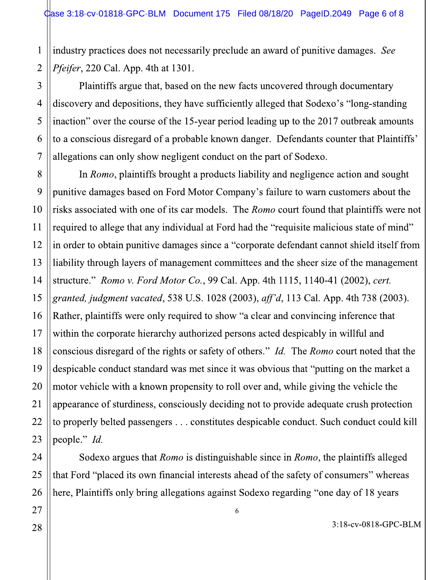industry practices does not necessarily preclude an award of punitive damages. See Pfeifer, 220 Cal. App. 4th at 1301.  $\overline{2}$ 

Plaintiffs argue that, based on the new facts uncovered through documentary discovery and depositions, they have sufficiently alleged that Sodexo's "long-standing inaction" over the course of the 15-year period leading up to the 2017 outbreak amounts to a conscious disregard of a probable known danger. Defendants counter that Plaintiffs' allegations can only show negligent conduct on the part of Sodexo.

In Romo, plaintiffs brought a products liability and negligence action and sought punitive damages based on Ford Motor Company's failure to warn customers about the risks associated with one of its car models. The *Romo* court found that plaintiffs were not required to allege that any individual at Ford had the "requisite malicious state of mind" in order to obtain punitive damages since a "corporate defendant cannot shield itself from liability through layers of management committees and the sheer size of the management structure." Romo v. Ford Motor Co., 99 Cal. App. 4th 1115, 1140-41 (2002), cert. granted, judgment vacated, 538 U.S. 1028 (2003), aff'd, 113 Cal. App. 4th 738 (2003). Rather, plaintiffs were only required to show "a clear and convincing inference that within the corporate hierarchy authorized persons acted despicably in willful and conscious disregard of the rights or safety of others." *Id.* The *Romo* court noted that the despicable conduct standard was met since it was obvious that "putting on the market a motor vehicle with a known propensity to roll over and, while giving the vehicle the appearance of sturdiness, consciously deciding not to provide adequate crush protection to properly belted passengers . . . constitutes despicable conduct. Such conduct could kill people." Id.

Sodexo argues that *Romo* is distinguishable since in *Romo*, the plaintiffs alleged that Ford "placed its own financial interests ahead of the safety of consumers" whereas here, Plaintiffs only bring allegations against Sodexo regarding "one day of 18 years

 $\sqrt{6}$ 

 $\mathbf{1}$ 

 $\overline{3}$ 

 $\overline{4}$ 

5

6

 $\overline{7}$ 

8

9

10

11

12

13

14

3:18-cv-0818-GPC-BLM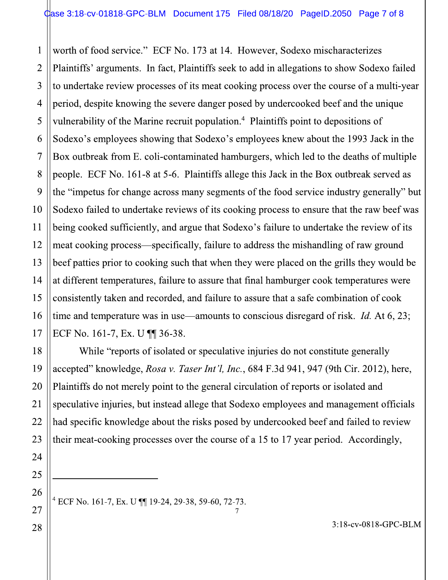3  $\overline{4}$ 5 6  $\mathcal{L}_{\mathcal{A}}$ 8 9  $10<sub>1</sub>$ 13 14 16  $\mathcal{L}_{\mathcal{A}}$ worth of food service." ECF No. 173 at 14. However, Sodexo mischaracterizes Document 175 Filed 08/18/20 PageID.2050 Page 7 c<br>No. 173 at 14. However, Sodexo mischaracterizes<br>The plaintiffs seek to add in allegations to show Sodexo<br>s of its meat cooking process over the course of a mul<br>evere danger ase 3:18-cv-01818-GPC-BLM Document 175 Filed 08/18/20 PageID.2050 Page 7 of 8<br>worth of food service." ECF No. 173 at 14. However, Sodexo mischaracterizes<br>Plaintiffs' arguments. In fact, Plaintiffs seek to add in allegation to undertake review processes of its meat cooking process over the course of a multi-year 3'32--/ %-/3540-25%-0-60 vulnerability of the Marine recruit population.<sup>4</sup> Plaintiffs point to depositions of Sodexo's employees showing that Sodexo's employees knew about the 1993 Jack in the Plaintiffs' arguments. In fact, Plaintiffs seek to add in allegations to show Sodexo failed<br>to undertake review processes of its meat cooking process over the course of a multi-year<br>period, despite knowing the severe dange people. ECF No. 161-8 at 5-6. Plaintiffs allege this Jack in the Box outbreak served as the "impetus for change across many segments of the food service industry generally" but Sodexo failed to undertake reviews of its cooking process to ensure that the raw beef was Sodexo's employees showing that Sodexo's employees knew about the 1993 Jack in the<br>Box outbreak from E. coli-contaminated hamburgers, which led to the deaths of multiple<br>people. ECF No. 161-8 at 5-6. Plaintiffs allege thi Box outbreak from E. coli-contaminated hamburgers, which led to the deaths of multiple<br>people. ECF No. 161-8 at 5-6. Plaintiffs allege this Jack in the Box outbreak served as<br>the "impetus for change across many segments o beef patties prior to cooking such that when they were placed on the grills they would be the "impetus for change across many segments of the food service industry generally" but<br>Sodexo failed to undertake reviews of its cooking process to ensure that the raw beef was<br>being cooked sufficiently, and argue that Sodexo failed to undertake reviews of its cooking process to ensure that the raw beef with<br>being cooked sufficiently, and argue that Sodexo's failure to undertake the review of its<br>meat cooking process—specifically, failu being cooked sufficiently, and argue that Sodexo's failure to undertake the review of its<br>meat cooking process—specifically, failure to address the mishandling of raw ground<br>beef patties prior to cooking such that when th ECF No. 161-7, Ex. U  $\P$  36-38. 12 meat cooking process—specifically, fail<br>
13 beef patties prior to cooking such that w.<br>
14 at different temperatures, failure to assumed to a sum 15 consistently taken and recorded, and fail<br>
16 time and temperature wa

 $20<sub>1</sub>$ While "reports of isolated or speculative injuries do not constitute generally 4<br>
at different temperatures, failure to assure that final hamburger cook temperatures were<br>
consistently taken and recorded, and failure to assure that a safe combination of cook<br>
time and temperature was in use—amounts accepted" knowledge, Rosa v. Taser Int'l, Inc., 684 F.3d 941, 947 (9th Cir. 2012), here, burger cook temperatures were<br>t a safe combination of cook<br>disregard of risk. *Id.* At 6, 23;<br>lo not constitute generally<br>941, 947 (9th Cir. 2012), here,<br>of reports or isolated and<br>oyees and management officials<br>ooked beef Plaintiffs do not merely point to the general circulation of reports or isolated and 16<br>
16<br>
16<br>
17 ECF No. 161-7, Ex. U 11 36-38.<br>
18<br>
18 ECF No. 161-7, Ex. U 11 36-38.<br>
18<br>
19 accepted" knowledge, *Rosa v. Taser Int'l, Inc.*, 684 F.3d 941, 947 (9th Cir. 2012), here,<br>
20 accepted" knowledge, *Rosa v. Tas* had specific knowledge about the risks posed by undercooked beef and failed to review their meat-cooking processes over the course of a 15 to 17 year period. Accordingly, not constitute generally<br>
41, 947 (9th Cir. 2012), here,<br>
reports or isolated and<br>
rees and management officials<br>
ked beef and failed to review<br>
year period. Accordingly,<br>
3:18-cv-0818-GPC-BLM 22<br>
had specific knowledge about the risks posed by underce<br>
23<br>
their meat-cooking processes over the course of a 15 to<br>
24<br>
25<br>  $26$ <br>  $+ ECF No. 161-7, Ex. U 11 19-24, 29-38, 59-60, 72-73.$ <br>
28<br>
28 edge about the risks posed by undercooked<br>processes over the course of a 15 to 17 yea<br>——<br>U ¶ 19-24, 29-38, 59-60, 72-73.

 $\frac{1}{2}$ 

<sup>4</sup> ECF No. 161-7, Ex. U ¶ 19-24, 29-38, 59-60, 72-73.

 $\mathbf{1}$ 

 $\overline{2}$ 

11

12

15

18

19

21

22

23

24

25

26

28

 $\mathcal{L}_{\mathcal{A}}$